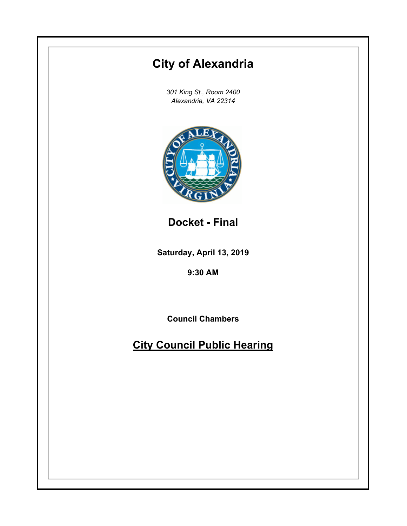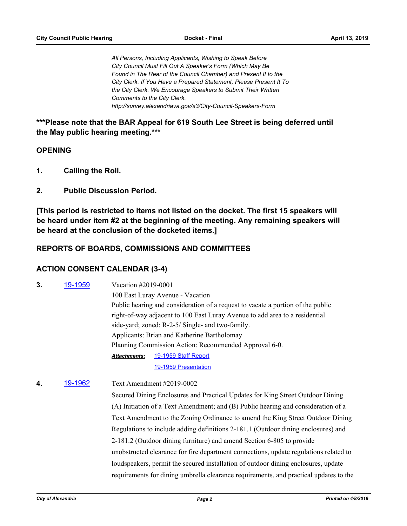*All Persons, Including Applicants, Wishing to Speak Before City Council Must Fill Out A Speaker's Form (Which May Be Found in The Rear of the Council Chamber) and Present It to the City Clerk. If You Have a Prepared Statement, Please Present It To the City Clerk. We Encourage Speakers to Submit Their Written Comments to the City Clerk. http://survey.alexandriava.gov/s3/City-Council-Speakers-Form*

**\*\*\*Please note that the BAR Appeal for 619 South Lee Street is being deferred until the May public hearing meeting.\*\*\***

#### **OPENING**

- **1. Calling the Roll.**
- **2. Public Discussion Period.**

**[This period is restricted to items not listed on the docket. The first 15 speakers will be heard under item #2 at the beginning of the meeting. Any remaining speakers will be heard at the conclusion of the docketed items.]**

#### **REPORTS OF BOARDS, COMMISSIONS AND COMMITTEES**

#### **ACTION CONSENT CALENDAR (3-4)**

- **3.** [19-1959](http://alexandria.legistar.com/gateway.aspx?m=l&id=/matter.aspx?key=10031) Vacation #2019-0001 100 East Luray Avenue - Vacation Public hearing and consideration of a request to vacate a portion of the public right-of-way adjacent to 100 East Luray Avenue to add area to a residential side-yard; zoned: R-2-5/ Single- and two-family. Applicants: Brian and Katherine Bartholomay Planning Commission Action: Recommended Approval 6-0. [19-1959 Staff Report](http://alexandria.legistar.com/gateway.aspx?M=F&ID=47d5b4b6-bff4-4ded-9ce5-42379ef248f2.pdf) [19-1959 Presentation](http://alexandria.legistar.com/gateway.aspx?M=F&ID=90310fb9-43fa-4f79-94ff-479d19057047.pptx) *Attachments:*
- **4.** [19-1962](http://alexandria.legistar.com/gateway.aspx?m=l&id=/matter.aspx?key=10034) Text Amendment #2019-0002 Secured Dining Enclosures and Practical Updates for King Street Outdoor Dining (A) Initiation of a Text Amendment; and (B) Public hearing and consideration of a Text Amendment to the Zoning Ordinance to amend the King Street Outdoor Dining Regulations to include adding definitions 2-181.1 (Outdoor dining enclosures) and 2-181.2 (Outdoor dining furniture) and amend Section 6-805 to provide unobstructed clearance for fire department connections, update regulations related to loudspeakers, permit the secured installation of outdoor dining enclosures, update requirements for dining umbrella clearance requirements, and practical updates to the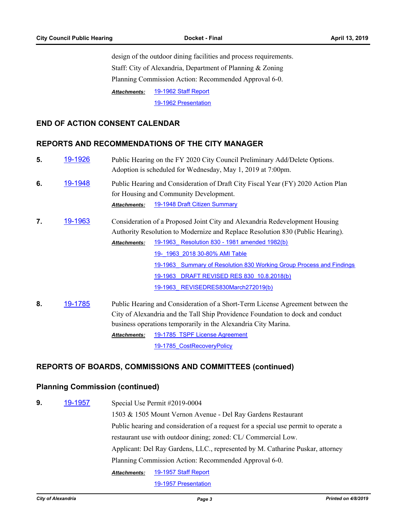design of the outdoor dining facilities and process requirements. Staff: City of Alexandria, Department of Planning & Zoning Planning Commission Action: Recommended Approval 6-0. [19-1962 Staff Report](http://alexandria.legistar.com/gateway.aspx?M=F&ID=493a69bc-29af-40e7-bcbe-44ca9a10dd9e.pdf) *Attachments:*

[19-1962 Presentation](http://alexandria.legistar.com/gateway.aspx?M=F&ID=8c09d7e3-3157-466e-b7b1-b973bb024269.pptx)

#### **END OF ACTION CONSENT CALENDAR**

## **REPORTS AND RECOMMENDATIONS OF THE CITY MANAGER**

| 5. | 19-1926        | Public Hearing on the FY 2020 City Council Preliminary Add/Delete Options.<br>Adoption is scheduled for Wednesday, May 1, 2019 at 7:00pm.                                                                                                                                                                                                                                                                                            |  |
|----|----------------|--------------------------------------------------------------------------------------------------------------------------------------------------------------------------------------------------------------------------------------------------------------------------------------------------------------------------------------------------------------------------------------------------------------------------------------|--|
| 6. | <u>19-1948</u> | Public Hearing and Consideration of Draft City Fiscal Year (FY) 2020 Action Plan<br>for Housing and Community Development.<br>19-1948 Draft Citizen Summary<br><b>Attachments:</b>                                                                                                                                                                                                                                                   |  |
| 7. | 19-1963        | Consideration of a Proposed Joint City and Alexandria Redevelopment Housing<br>Authority Resolution to Modernize and Replace Resolution 830 (Public Hearing).<br>19-1963 Resolution 830 - 1981 amended 1982(b)<br><b>Attachments:</b><br>19- 1963 2018 30-80% AMI Table<br>19-1963 Summary of Resolution 830 Working Group Process and Findings<br>19-1963 DRAFT REVISED RES 830 10.8.2018(b)<br>19-1963 REVISEDRES830March272019(b) |  |
| 8. | 19-1785        | Public Hearing and Consideration of a Short-Term License Agreement between the<br>City of Alexandria and the Tall Ship Providence Foundation to dock and conduct<br>business operations temporarily in the Alexandria City Marina.                                                                                                                                                                                                   |  |

Attachments: 19-1785 TSPF License Agreement

19-1785 CostRecoveryPolicy

#### **REPORTS OF BOARDS, COMMISSIONS AND COMMITTEES (continued)**

#### **Planning Commission (continued)**

**9.** [19-1957](http://alexandria.legistar.com/gateway.aspx?m=l&id=/matter.aspx?key=10029) Special Use Permit #2019-0004 1503 & 1505 Mount Vernon Avenue - Del Ray Gardens Restaurant Public hearing and consideration of a request for a special use permit to operate a restaurant use with outdoor dining; zoned: CL/ Commercial Low. Applicant: Del Ray Gardens, LLC., represented by M. Catharine Puskar, attorney Planning Commission Action: Recommended Approval 6-0. [19-1957 Staff Report](http://alexandria.legistar.com/gateway.aspx?M=F&ID=c226edca-406a-4589-a573-edbb0702b8df.pdf) [19-1957 Presentation](http://alexandria.legistar.com/gateway.aspx?M=F&ID=59810873-be76-428c-9537-c0598ceea01c.pptx) *Attachments:*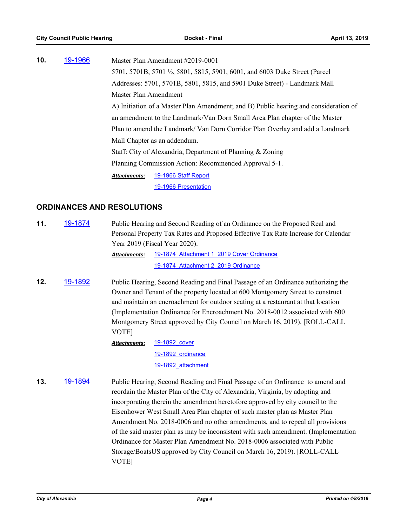| 10. | 19-1966 |                              | Master Plan Amendment #2019-0001                                                     |
|-----|---------|------------------------------|--------------------------------------------------------------------------------------|
|     |         |                              | 5701, 5701B, 5701 1/2, 5801, 5815, 5901, 6001, and 6003 Duke Street (Parcel          |
|     |         |                              | Addresses: 5701, 5701B, 5801, 5815, and 5901 Duke Street) - Landmark Mall            |
|     |         | Master Plan Amendment        |                                                                                      |
|     |         |                              | A) Initiation of a Master Plan Amendment; and B) Public hearing and consideration of |
|     |         |                              | an amendment to the Landmark/Van Dorn Small Area Plan chapter of the Master          |
|     |         |                              | Plan to amend the Landmark/Van Dorn Corridor Plan Overlay and add a Landmark         |
|     |         | Mall Chapter as an addendum. |                                                                                      |
|     |         |                              | Staff: City of Alexandria, Department of Planning & Zoning                           |
|     |         |                              | Planning Commission Action: Recommended Approval 5-1.                                |
|     |         | <b>Attachments:</b>          | 19-1966 Staff Report                                                                 |
|     |         |                              | 19-1966 Presentation                                                                 |
|     |         |                              |                                                                                      |

### **ORDINANCES AND RESOLUTIONS**

| 11. | 19-1874 | Public Hearing and Second Reading of an Ordinance on the Proposed Real and<br>Personal Property Tax Rates and Proposed Effective Tax Rate Increase for Calendar                                                                                                                                                                                                                                                                |                                                                                                                                                                                                                                                                                                                                |  |
|-----|---------|--------------------------------------------------------------------------------------------------------------------------------------------------------------------------------------------------------------------------------------------------------------------------------------------------------------------------------------------------------------------------------------------------------------------------------|--------------------------------------------------------------------------------------------------------------------------------------------------------------------------------------------------------------------------------------------------------------------------------------------------------------------------------|--|
|     |         |                                                                                                                                                                                                                                                                                                                                                                                                                                | Year 2019 (Fiscal Year 2020).                                                                                                                                                                                                                                                                                                  |  |
|     |         | <b>Attachments:</b>                                                                                                                                                                                                                                                                                                                                                                                                            | 19-1874 Attachment 1 2019 Cover Ordinance                                                                                                                                                                                                                                                                                      |  |
|     |         |                                                                                                                                                                                                                                                                                                                                                                                                                                | 19-1874 Attachment 2 2019 Ordinance                                                                                                                                                                                                                                                                                            |  |
| 12. | 19-1892 | Public Hearing, Second Reading and Final Passage of an Ordinance authorizing the<br>Owner and Tenant of the property located at 600 Montgomery Street to construct<br>and maintain an encroachment for outdoor seating at a restaurant at that location<br>(Implementation Ordinance for Encroachment No. 2018-0012 associated with 600)<br>Montgomery Street approved by City Council on March 16, 2019). [ROLL-CALL<br>VOTE] |                                                                                                                                                                                                                                                                                                                                |  |
|     |         | Attachments:                                                                                                                                                                                                                                                                                                                                                                                                                   | 19-1892 cover                                                                                                                                                                                                                                                                                                                  |  |
|     |         |                                                                                                                                                                                                                                                                                                                                                                                                                                | 19-1892 ordinance                                                                                                                                                                                                                                                                                                              |  |
|     |         |                                                                                                                                                                                                                                                                                                                                                                                                                                | 19-1892 attachment                                                                                                                                                                                                                                                                                                             |  |
| 13. | 19-1894 |                                                                                                                                                                                                                                                                                                                                                                                                                                | Public Hearing, Second Reading and Final Passage of an Ordinance to amend and<br>reordain the Master Plan of the City of Alexandria, Virginia, by adopting and<br>incorporating therein the amendment heretofore approved by city council to the<br>Eisenhower West Small Area Plan chapter of such master plan as Master Plan |  |

Eisenhower West Small Area Plan chapter of such master plan as Master Plan Amendment No. 2018-0006 and no other amendments, and to repeal all provisions of the said master plan as may be inconsistent with such amendment. (Implementation Ordinance for Master Plan Amendment No. 2018-0006 associated with Public Storage/BoatsUS approved by City Council on March 16, 2019). [ROLL-CALL VOTE]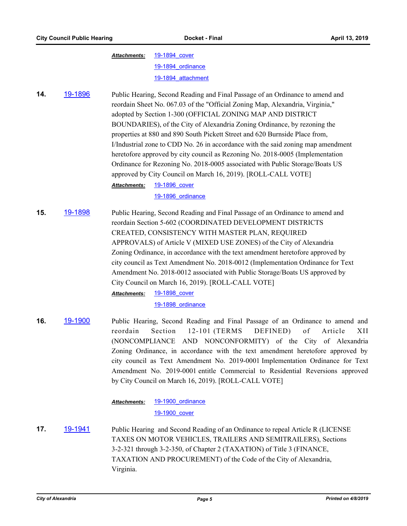| Attachments: | 19-1894 cover      |
|--------------|--------------------|
|              | 19-1894 ordinance  |
|              | 19-1894 attachment |

**14.** [19-1896](http://alexandria.legistar.com/gateway.aspx?m=l&id=/matter.aspx?key=9968) Public Hearing, Second Reading and Final Passage of an Ordinance to amend and reordain Sheet No. 067.03 of the "Official Zoning Map, Alexandria, Virginia," adopted by Section 1-300 (OFFICIAL ZONING MAP AND DISTRICT BOUNDARIES), of the City of Alexandria Zoning Ordinance, by rezoning the properties at 880 and 890 South Pickett Street and 620 Burnside Place from, I/Industrial zone to CDD No. 26 in accordance with the said zoning map amendment heretofore approved by city council as Rezoning No. 2018-0005 (Implementation Ordinance for Rezoning No. 2018-0005 associated with Public Storage/Boats US approved by City Council on March 16, 2019). [ROLL-CALL VOTE]

[19-1896\\_cover](http://alexandria.legistar.com/gateway.aspx?M=F&ID=fd4d9d52-1ecf-45c7-989a-7cb26183de98.doc) [19-1896\\_ordinance](http://alexandria.legistar.com/gateway.aspx?M=F&ID=419a919e-d57e-43a3-8447-726aed099f5f.doc) *Attachments:*

**15.** [19-1898](http://alexandria.legistar.com/gateway.aspx?m=l&id=/matter.aspx?key=9970) Public Hearing, Second Reading and Final Passage of an Ordinance to amend and reordain Section 5-602 (COORDINATED DEVELOPMENT DISTRICTS CREATED, CONSISTENCY WITH MASTER PLAN, REQUIRED APPROVALS) of Article V (MIXED USE ZONES) of the City of Alexandria Zoning Ordinance, in accordance with the text amendment heretofore approved by city council as Text Amendment No. 2018-0012 (Implementation Ordinance for Text Amendment No. 2018-0012 associated with Public Storage/Boats US approved by City Council on March 16, 2019). [ROLL-CALL VOTE]

[19-1898\\_cover](http://alexandria.legistar.com/gateway.aspx?M=F&ID=6b29abba-58dc-472c-97bb-9b4b2e486609.doc) *Attachments:*

[19-1898\\_ordinance](http://alexandria.legistar.com/gateway.aspx?M=F&ID=77b71a65-f9ef-46f6-aa75-99775f4c9c3f.doc)

**16.** [19-1900](http://alexandria.legistar.com/gateway.aspx?m=l&id=/matter.aspx?key=9972) Public Hearing, Second Reading and Final Passage of an Ordinance to amend and reordain Section 12-101 (TERMS DEFINED) of Article XII (NONCOMPLIANCE AND NONCONFORMITY) of the City of Alexandria Zoning Ordinance, in accordance with the text amendment heretofore approved by city council as Text Amendment No. 2019-0001 Implementation Ordinance for Text Amendment No. 2019-0001 entitle Commercial to Residential Reversions approved by City Council on March 16, 2019). [ROLL-CALL VOTE]

> [19-1900\\_ordinance](http://alexandria.legistar.com/gateway.aspx?M=F&ID=1e7ac867-dca9-4211-be45-933b06ef56dd.doc) *Attachments:*

[19-1900\\_cover](http://alexandria.legistar.com/gateway.aspx?M=F&ID=c1c0ed89-0a6b-4ccb-acf8-bbb03935635a.doc)

**17.** [19-1941](http://alexandria.legistar.com/gateway.aspx?m=l&id=/matter.aspx?key=10013) Public Hearing and Second Reading of an Ordinance to repeal Article R (LICENSE TAXES ON MOTOR VEHICLES, TRAILERS AND SEMITRAILERS), Sections 3-2-321 through 3-2-350, of Chapter 2 (TAXATION) of Title 3 (FINANCE, TAXATION AND PROCUREMENT) of the Code of the City of Alexandria, Virginia.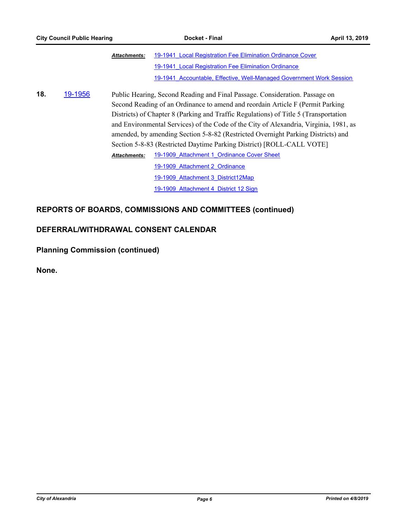|     |         | <b>Attachments:</b> | 19-1941 Local Registration Fee Elimination Ordinance Cover                            |
|-----|---------|---------------------|---------------------------------------------------------------------------------------|
|     |         |                     | 19-1941 Local Registration Fee Elimination Ordinance                                  |
|     |         |                     | 19-1941 Accountable, Effective, Well-Managed Government Work Session                  |
| 18. | 19-1956 |                     | Public Hearing, Second Reading and Final Passage. Consideration. Passage on           |
|     |         |                     | Second Reading of an Ordinance to amend and reordain Article F (Permit Parking)       |
|     |         |                     | Districts) of Chapter 8 (Parking and Traffic Regulations) of Title 5 (Transportation  |
|     |         |                     | and Environmental Services) of the Code of the City of Alexandria, Virginia, 1981, as |
|     |         |                     | amended, by amending Section 5-8-82 (Restricted Overnight Parking Districts) and      |
|     |         |                     | Section 5-8-83 (Restricted Daytime Parking District) [ROLL-CALL VOTE]                 |
|     |         | <b>Attachments:</b> | 19-1909 Attachment 1 Ordinance Cover Sheet                                            |
|     |         |                     | 19-1909 Attachment 2 Ordinance                                                        |
|     |         |                     | 19-1909 Attachment 3 District12Map                                                    |
|     |         |                     | 19-1909 Attachment 4 District 12 Sign                                                 |
|     |         |                     |                                                                                       |

# **REPORTS OF BOARDS, COMMISSIONS AND COMMITTEES (continued)**

## **DEFERRAL/WITHDRAWAL CONSENT CALENDAR**

**Planning Commission (continued)**

**None.**